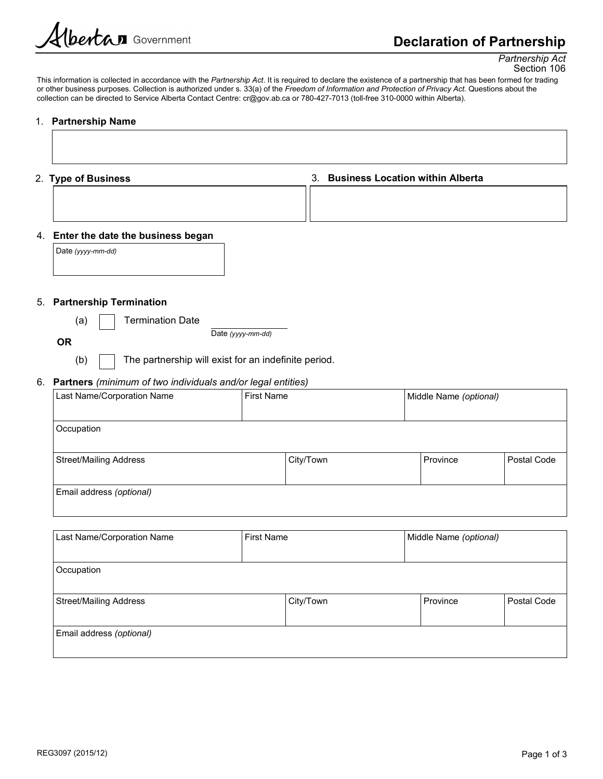# Declaration of Partnership

Partnership Act Section 106

This information is collected in accordance with the Partnership Act. It is required to declare the existence of a partnership that has been formed for trading or other business purposes. Collection is authorized under s. 33(a) of the Freedom of Information and Protection of Privacy Act. Questions about the collection can be directed to Service Alberta Contact Centre: cr@gov.ab.ca or 780-427-7013 (toll-free 310-0000 within Alberta).

#### 1. Partnership Name

| 2. Type of Business |  |
|---------------------|--|
|---------------------|--|

3. Business Location within Alberta

## 4. Enter the date the business began

Date (yyyy-mm-dd)

#### 5. Partnership Termination

(a) I Fermination Date

Date (yyyy-mm-dd)

**OR CONSTRUCTION** 

(b)  $\parallel$  The partnership will exist for an indefinite period.

## 6. Partners (minimum of two individuals and/or legal entities)

| Last Name/Corporation Name |  | First Name |  | Middle Name (optional) |             |
|----------------------------|--|------------|--|------------------------|-------------|
|                            |  |            |  |                        |             |
| Occupation                 |  |            |  |                        |             |
|                            |  |            |  |                        |             |
| Street/Mailing Address     |  | City/Town  |  | Province               | Postal Code |
|                            |  |            |  |                        |             |
| Email address (optional)   |  |            |  |                        |             |
|                            |  |            |  |                        |             |

| Last Name/Corporation Name | First Name |           | Middle Name (optional) |             |
|----------------------------|------------|-----------|------------------------|-------------|
| Occupation                 |            |           |                        |             |
| Street/Mailing Address     |            | City/Town | Province               | Postal Code |
| Email address (optional)   |            |           |                        |             |
|                            |            |           |                        |             |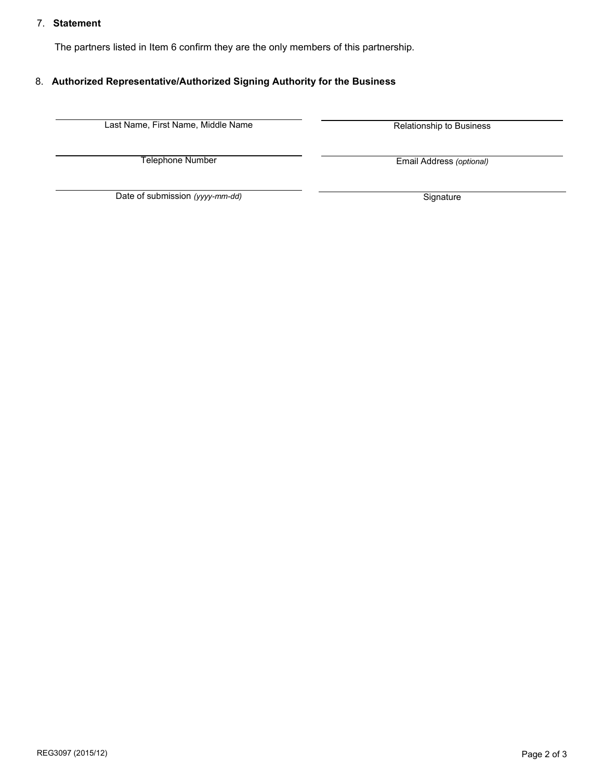### 7. Statement

The partners listed in Item 6 confirm they are the only members of this partnership.

## 8. Authorized Representative/Authorized Signing Authority for the Business

Last Name, First Name, Middle Name **Relationship to Business** 

Telephone Number

Email Address (optional)

Date of submission (yyyy-mm-dd) Signature